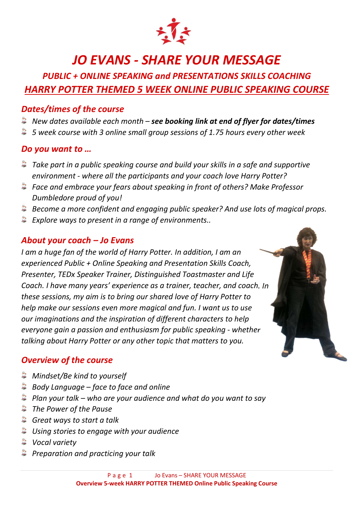

# JO EVANS - SHARE YOUR MESSAGE

# PUBLIC + ONLINE SPEAKING and PRESENTATIONS SKILLS COACHING HARRY POTTER THEMED 5 WEEK ONLINE PUBLIC SPEAKING COURSE

#### Dates/times of the course

- $\ddot{\bullet}$  New dates available each month see booking link at end of flyer for dates/times
- $\ddot{\bullet}$  5 week course with 3 online small group sessions of 1.75 hours every other week

#### Do you want to …

- $\ddot{\bullet}$  Take part in a public speaking course and build your skills in a safe and supportive environment - where all the participants and your coach love Harry Potter?
- Face and embrace your fears about speaking in front of others? Make Professor Dumbledore proud of you!
- Become a more confident and engaging public speaker? And use lots of magical props.
- $\ddot{\bullet}$  Explore ways to present in a range of environments..

#### About your coach – Jo Evans

I am a huge fan of the world of Harry Potter. In addition, I am an experienced Public + Online Speaking and Presentation Skills Coach, Presenter, TEDx Speaker Trainer, Distinguished Toastmaster and Life Coach. I have many years' experience as a trainer, teacher, and coach. In these sessions, my aim is to bring our shared love of Harry Potter to help make our sessions even more magical and fun. I want us to use our imaginations and the inspiration of different characters to help everyone gain a passion and enthusiasm for public speaking - whether talking about Harry Potter or any other topic that matters to you.

#### Overview of the course

- **Mindset/Be kind to yourself**
- $\triangle$  Body Language face to face and online
- $\bullet$  Plan your talk who are your audience and what do you want to say
- **The Power of the Pause**
- $\triangle$  Great ways to start a talk
- $\triangleq$  Using stories to engage with your audience
- **Wocal variety**
- **Preparation and practicing your talk**